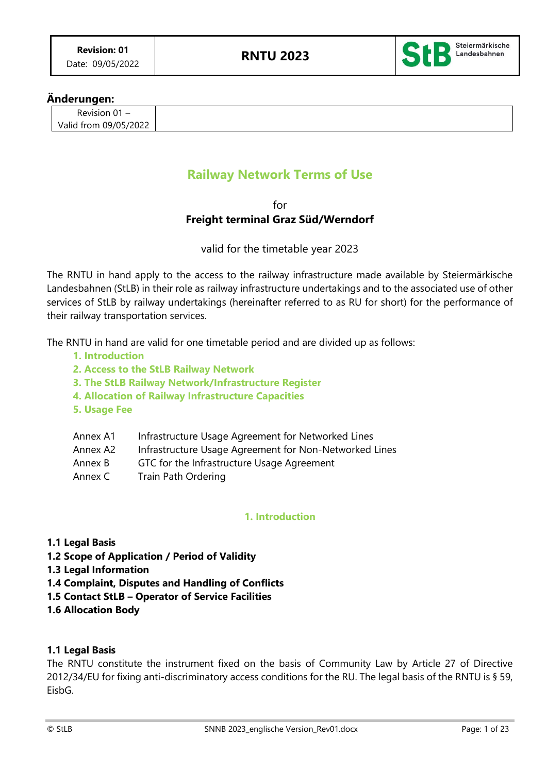

## **Änderungen:**

| Revision $01 -$       |  |
|-----------------------|--|
| Valid from 09/05/2022 |  |

# **Railway Network Terms of Use**

## for **Freight terminal Graz Süd/Werndorf**

valid for the timetable year 2023

The RNTU in hand apply to the access to the railway infrastructure made available by Steiermärkische Landesbahnen (StLB) in their role as railway infrastructure undertakings and to the associated use of other services of StLB by railway undertakings (hereinafter referred to as RU for short) for the performance of their railway transportation services.

The RNTU in hand are valid for one timetable period and are divided up as follows:

- **1. Introduction**
- **2. Access to the StLB Railway Network**
- **3. The StLB Railway Network/Infrastructure Register**
- **4. Allocation of Railway Infrastructure Capacities**
- **5. Usage Fee**

| Annex A1 | Infrastructure Usage Agreement for Networked Lines |
|----------|----------------------------------------------------|
|          |                                                    |

- Annex A2 Infrastructure Usage Agreement for Non-Networked Lines
- Annex B GTC for the Infrastructure Usage Agreement
- Annex C Train Path Ordering

## **1. Introduction**

- **1.1 Legal Basis**
- **1.2 Scope of Application / Period of Validity**
- **1.3 Legal Information**
- **1.4 Complaint, Disputes and Handling of Conflicts**
- **1.5 Contact StLB – Operator of Service Facilities**
- **1.6 Allocation Body**

### **1.1 Legal Basis**

The RNTU constitute the instrument fixed on the basis of Community Law by Article 27 of Directive 2012/34/EU for fixing anti-discriminatory access conditions for the RU. The legal basis of the RNTU is § 59, **FishG**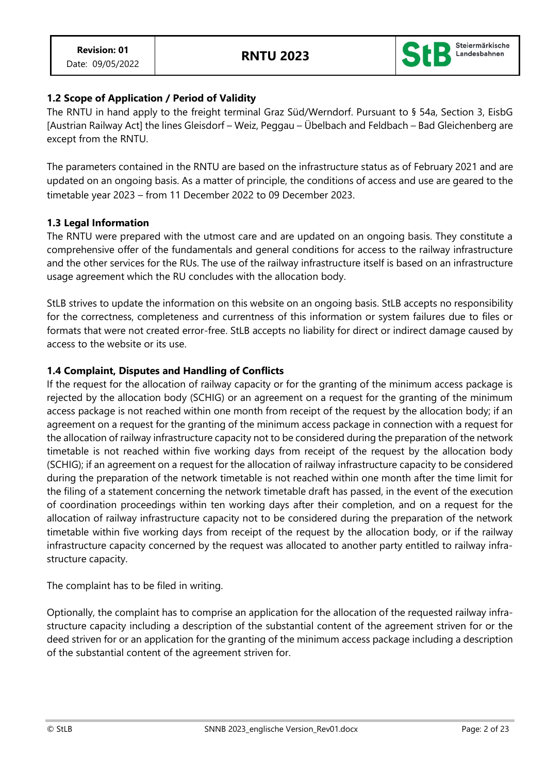

## **1.2 Scope of Application / Period of Validity**

The RNTU in hand apply to the freight terminal Graz Süd/Werndorf. Pursuant to § 54a, Section 3, EisbG [Austrian Railway Act] the lines Gleisdorf – Weiz, Peggau – Übelbach and Feldbach – Bad Gleichenberg are except from the RNTU.

The parameters contained in the RNTU are based on the infrastructure status as of February 2021 and are updated on an ongoing basis. As a matter of principle, the conditions of access and use are geared to the timetable year 2023 – from 11 December 2022 to 09 December 2023.

## **1.3 Legal Information**

The RNTU were prepared with the utmost care and are updated on an ongoing basis. They constitute a comprehensive offer of the fundamentals and general conditions for access to the railway infrastructure and the other services for the RUs. The use of the railway infrastructure itself is based on an infrastructure usage agreement which the RU concludes with the allocation body.

StLB strives to update the information on this website on an ongoing basis. StLB accepts no responsibility for the correctness, completeness and currentness of this information or system failures due to files or formats that were not created error-free. StLB accepts no liability for direct or indirect damage caused by access to the website or its use.

## **1.4 Complaint, Disputes and Handling of Conflicts**

If the request for the allocation of railway capacity or for the granting of the minimum access package is rejected by the allocation body (SCHIG) or an agreement on a request for the granting of the minimum access package is not reached within one month from receipt of the request by the allocation body; if an agreement on a request for the granting of the minimum access package in connection with a request for the allocation of railway infrastructure capacity not to be considered during the preparation of the network timetable is not reached within five working days from receipt of the request by the allocation body (SCHIG); if an agreement on a request for the allocation of railway infrastructure capacity to be considered during the preparation of the network timetable is not reached within one month after the time limit for the filing of a statement concerning the network timetable draft has passed, in the event of the execution of coordination proceedings within ten working days after their completion, and on a request for the allocation of railway infrastructure capacity not to be considered during the preparation of the network timetable within five working days from receipt of the request by the allocation body, or if the railway infrastructure capacity concerned by the request was allocated to another party entitled to railway infrastructure capacity.

The complaint has to be filed in writing.

Optionally, the complaint has to comprise an application for the allocation of the requested railway infrastructure capacity including a description of the substantial content of the agreement striven for or the deed striven for or an application for the granting of the minimum access package including a description of the substantial content of the agreement striven for.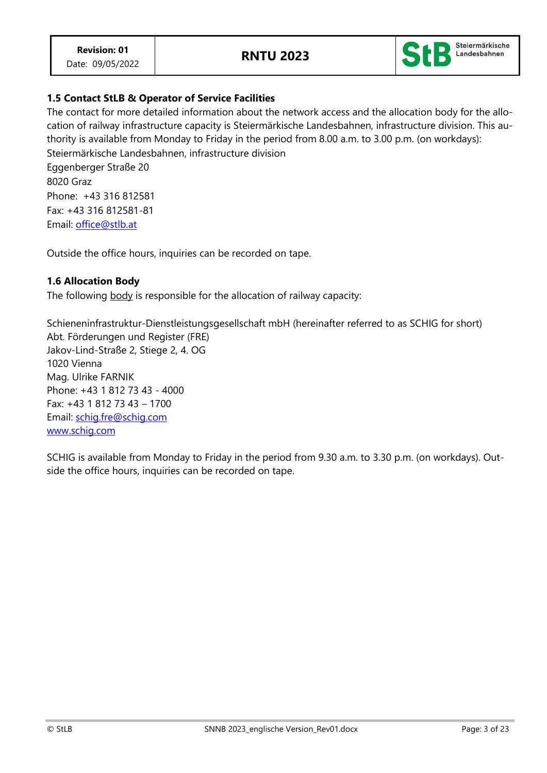

## **1.5 Contact StLB & Operator of Service Facilities**

The contact for more detailed information about the network access and the allocation body for the allocation of railway infrastructure capacity is Steiermärkische Landesbahnen, infrastructure division. This authority is available from Monday to Friday in the period from 8.00 a.m. to 3.00 p.m. (on workdays): Steiermärkische Landesbahnen, infrastructure division

Eggenberger Straße 20 8020 Graz Phone: +43 316 812581 Fax: +43 316 812581-81 Email: [office@stlb.at](mailto:office@stlb.at)

Outside the office hours, inquiries can be recorded on tape.

### **1.6 Allocation Body**

The following body is responsible for the allocation of railway capacity:

Schieneninfrastruktur-Dienstleistungsgesellschaft mbH (hereinafter referred to as SCHIG for short) Abt. Förderungen und Register (FRE) Jakov-Lind-Straße 2, Stiege 2, 4. OG 1020 Vienna Mag. Ulrike FARNIK Phone: +43 1 812 73 43 - 4000 Fax: +43 1 812 73 43 – 1700 Email: [schig.fre@schig.com](mailto:schig.fre@schig.com) [www.schig.com](http://www.schig.com/)

SCHIG is available from Monday to Friday in the period from 9.30 a.m. to 3.30 p.m. (on workdays). Outside the office hours, inquiries can be recorded on tape.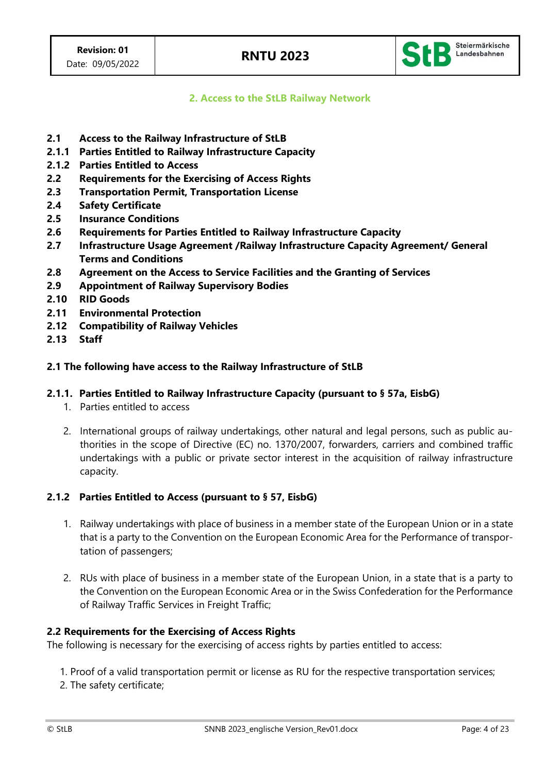

**2. Access to the StLB Railway Network**

- **2.1 Access to the Railway Infrastructure of StLB**
- **2.1.1 Parties Entitled to Railway Infrastructure Capacity**
- **2.1.2 Parties Entitled to Access**
- **2.2 Requirements for the Exercising of Access Rights**
- **2.3 Transportation Permit, Transportation License**
- **2.4 Safety Certificate**
- **2.5 Insurance Conditions**
- **2.6 Requirements for Parties Entitled to Railway Infrastructure Capacity**
- **2.7 Infrastructure Usage Agreement /Railway Infrastructure Capacity Agreement/ General Terms and Conditions**
- **2.8 Agreement on the Access to Service Facilities and the Granting of Services**
- **2.9 Appointment of Railway Supervisory Bodies**
- **2.10 RID Goods**
- **2.11 Environmental Protection**
- **2.12 Compatibility of Railway Vehicles**
- **2.13 Staff**

### **2.1 The following have access to the Railway Infrastructure of StLB**

### **2.1.1. Parties Entitled to Railway Infrastructure Capacity (pursuant to § 57a, EisbG)**

- 1. Parties entitled to access
- 2. International groups of railway undertakings, other natural and legal persons, such as public authorities in the scope of Directive (EC) no. 1370/2007, forwarders, carriers and combined traffic undertakings with a public or private sector interest in the acquisition of railway infrastructure capacity.

### **2.1.2 Parties Entitled to Access (pursuant to § 57, EisbG)**

- 1. Railway undertakings with place of business in a member state of the European Union or in a state that is a party to the Convention on the European Economic Area for the Performance of transportation of passengers;
- 2. RUs with place of business in a member state of the European Union, in a state that is a party to the Convention on the European Economic Area or in the Swiss Confederation for the Performance of Railway Traffic Services in Freight Traffic;

### **2.2 Requirements for the Exercising of Access Rights**

The following is necessary for the exercising of access rights by parties entitled to access:

- 1. Proof of a valid transportation permit or license as RU for the respective transportation services;
- 2. The safety certificate;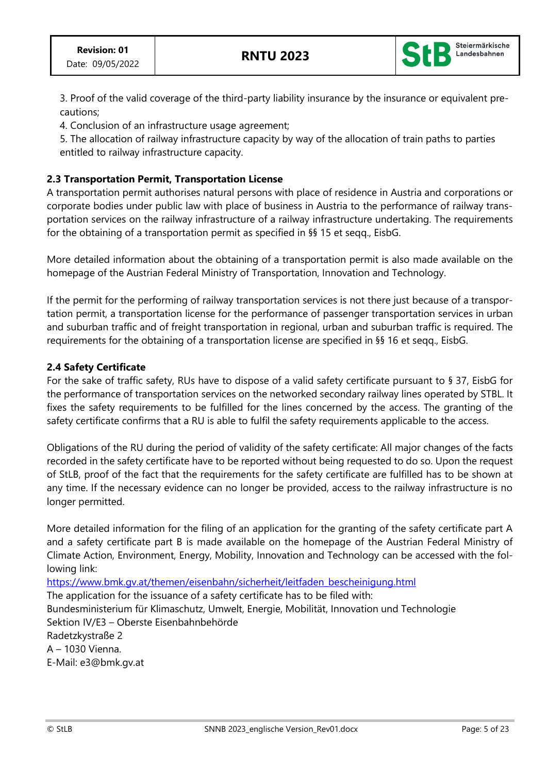

3. Proof of the valid coverage of the third-party liability insurance by the insurance or equivalent precautions;

4. Conclusion of an infrastructure usage agreement;

5. The allocation of railway infrastructure capacity by way of the allocation of train paths to parties entitled to railway infrastructure capacity.

## **2.3 Transportation Permit, Transportation License**

A transportation permit authorises natural persons with place of residence in Austria and corporations or corporate bodies under public law with place of business in Austria to the performance of railway transportation services on the railway infrastructure of a railway infrastructure undertaking. The requirements for the obtaining of a transportation permit as specified in §§ 15 et seqq., EisbG.

More detailed information about the obtaining of a transportation permit is also made available on the homepage of the Austrian Federal Ministry of Transportation, Innovation and Technology.

If the permit for the performing of railway transportation services is not there just because of a transportation permit, a transportation license for the performance of passenger transportation services in urban and suburban traffic and of freight transportation in regional, urban and suburban traffic is required. The requirements for the obtaining of a transportation license are specified in §§ 16 et seqq., EisbG.

## **2.4 Safety Certificate**

For the sake of traffic safety, RUs have to dispose of a valid safety certificate pursuant to § 37, EisbG for the performance of transportation services on the networked secondary railway lines operated by STBL. It fixes the safety requirements to be fulfilled for the lines concerned by the access. The granting of the safety certificate confirms that a RU is able to fulfil the safety requirements applicable to the access.

Obligations of the RU during the period of validity of the safety certificate: All major changes of the facts recorded in the safety certificate have to be reported without being requested to do so. Upon the request of StLB, proof of the fact that the requirements for the safety certificate are fulfilled has to be shown at any time. If the necessary evidence can no longer be provided, access to the railway infrastructure is no longer permitted.

More detailed information for the filing of an application for the granting of the safety certificate part A and a safety certificate part B is made available on the homepage of the Austrian Federal Ministry of Climate Action, Environment, Energy, Mobility, Innovation and Technology can be accessed with the following link:

[https://www.bmk.gv.at/themen/eisenbahn/sicherheit/leitfaden\\_bescheinigung.html](https://www.bmk.gv.at/themen/eisenbahn/sicherheit/leitfaden_bescheinigung.html) The application for the issuance of a safety certificate has to be filed with: Bundesministerium für Klimaschutz, Umwelt, Energie, Mobilität, Innovation und Technologie Sektion IV/E3 – Oberste Eisenbahnbehörde Radetzkystraße 2 A – 1030 Vienna. E-Mail: e3@bmk.gv.at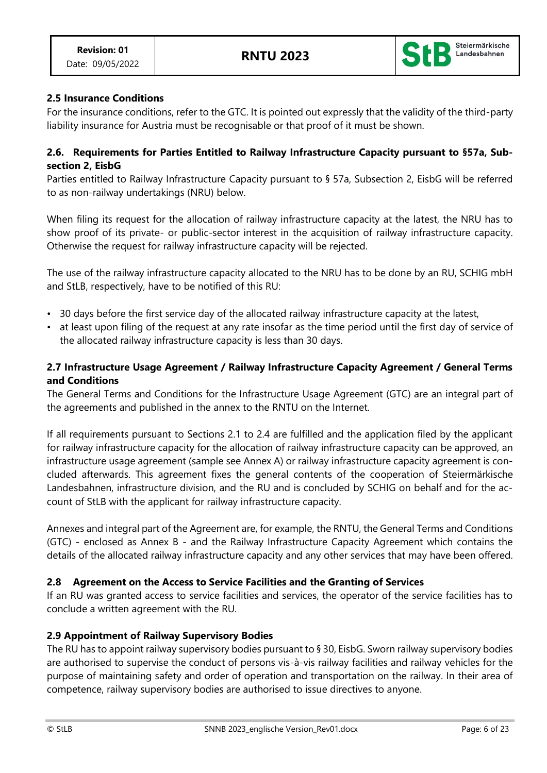

## **2.5 Insurance Conditions**

For the insurance conditions, refer to the GTC. It is pointed out expressly that the validity of the third-party liability insurance for Austria must be recognisable or that proof of it must be shown.

### **2.6. Requirements for Parties Entitled to Railway Infrastructure Capacity pursuant to §57a, Subsection 2, EisbG**

Parties entitled to Railway Infrastructure Capacity pursuant to § 57a, Subsection 2, EisbG will be referred to as non-railway undertakings (NRU) below.

When filing its request for the allocation of railway infrastructure capacity at the latest, the NRU has to show proof of its private- or public-sector interest in the acquisition of railway infrastructure capacity. Otherwise the request for railway infrastructure capacity will be rejected.

The use of the railway infrastructure capacity allocated to the NRU has to be done by an RU, SCHIG mbH and StLB, respectively, have to be notified of this RU:

- 30 days before the first service day of the allocated railway infrastructure capacity at the latest,
- at least upon filing of the request at any rate insofar as the time period until the first day of service of the allocated railway infrastructure capacity is less than 30 days.

## **2.7 Infrastructure Usage Agreement / Railway Infrastructure Capacity Agreement / General Terms and Conditions**

The General Terms and Conditions for the Infrastructure Usage Agreement (GTC) are an integral part of the agreements and published in the annex to the RNTU on the Internet.

If all requirements pursuant to Sections 2.1 to 2.4 are fulfilled and the application filed by the applicant for railway infrastructure capacity for the allocation of railway infrastructure capacity can be approved, an infrastructure usage agreement (sample see Annex A) or railway infrastructure capacity agreement is concluded afterwards. This agreement fixes the general contents of the cooperation of Steiermärkische Landesbahnen, infrastructure division, and the RU and is concluded by SCHIG on behalf and for the account of StLB with the applicant for railway infrastructure capacity.

Annexes and integral part of the Agreement are, for example, the RNTU, the General Terms and Conditions (GTC) - enclosed as Annex B - and the Railway Infrastructure Capacity Agreement which contains the details of the allocated railway infrastructure capacity and any other services that may have been offered.

## **2.8 Agreement on the Access to Service Facilities and the Granting of Services**

If an RU was granted access to service facilities and services, the operator of the service facilities has to conclude a written agreement with the RU.

## **2.9 Appointment of Railway Supervisory Bodies**

The RU has to appoint railway supervisory bodies pursuant to § 30, EisbG. Sworn railway supervisory bodies are authorised to supervise the conduct of persons vis-à-vis railway facilities and railway vehicles for the purpose of maintaining safety and order of operation and transportation on the railway. In their area of competence, railway supervisory bodies are authorised to issue directives to anyone.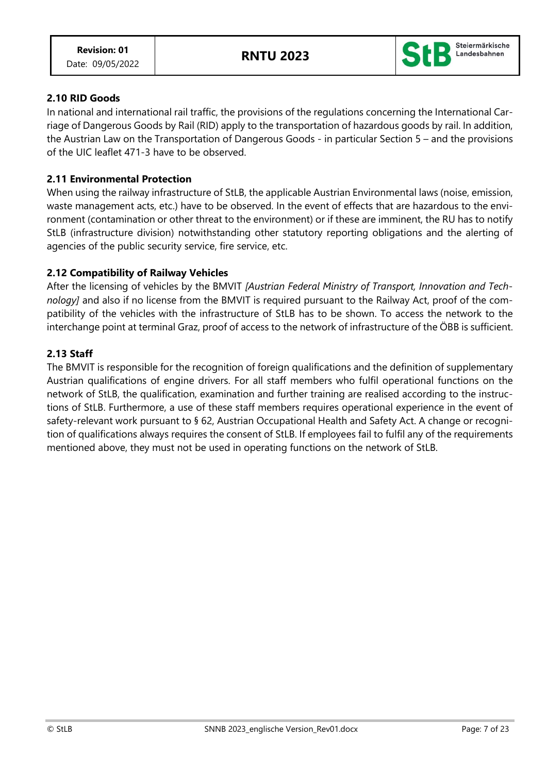

## **2.10 RID Goods**

In national and international rail traffic, the provisions of the regulations concerning the International Carriage of Dangerous Goods by Rail (RID) apply to the transportation of hazardous goods by rail. In addition, the Austrian Law on the Transportation of Dangerous Goods - in particular Section 5 – and the provisions of the UIC leaflet 471-3 have to be observed.

### **2.11 Environmental Protection**

When using the railway infrastructure of StLB, the applicable Austrian Environmental laws (noise, emission, waste management acts, etc.) have to be observed. In the event of effects that are hazardous to the environment (contamination or other threat to the environment) or if these are imminent, the RU has to notify StLB (infrastructure division) notwithstanding other statutory reporting obligations and the alerting of agencies of the public security service, fire service, etc.

## **2.12 Compatibility of Railway Vehicles**

After the licensing of vehicles by the BMVIT *[Austrian Federal Ministry of Transport, Innovation and Technology]* and also if no license from the BMVIT is required pursuant to the Railway Act, proof of the compatibility of the vehicles with the infrastructure of StLB has to be shown. To access the network to the interchange point at terminal Graz, proof of access to the network of infrastructure of the ÖBB is sufficient.

### **2.13 Staff**

The BMVIT is responsible for the recognition of foreign qualifications and the definition of supplementary Austrian qualifications of engine drivers. For all staff members who fulfil operational functions on the network of StLB, the qualification, examination and further training are realised according to the instructions of StLB. Furthermore, a use of these staff members requires operational experience in the event of safety-relevant work pursuant to § 62, Austrian Occupational Health and Safety Act. A change or recognition of qualifications always requires the consent of StLB. If employees fail to fulfil any of the requirements mentioned above, they must not be used in operating functions on the network of StLB.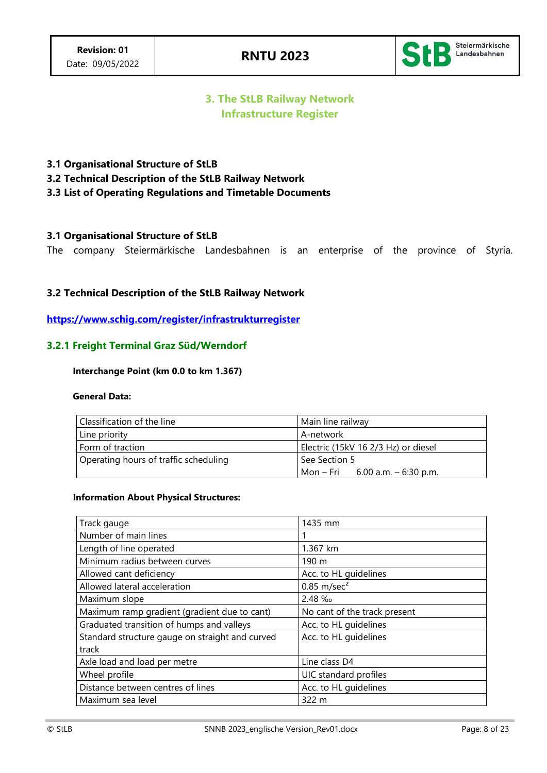

## **3. The StLB Railway Network Infrastructure Register**

### **3.1 Organisational Structure of StLB**

**3.2 Technical Description of the StLB Railway Network**

### **3.3 List of Operating Regulations and Timetable Documents**

### **3.1 Organisational Structure of StLB**

The company Steiermärkische Landesbahnen is an enterprise of the province of Styria.

### **3.2 Technical Description of the StLB Railway Network**

**<https://www.schig.com/register/infrastrukturregister>**

### **3.2.1 Freight Terminal Graz Süd/Werndorf**

#### **Interchange Point (km 0.0 to km 1.367)**

#### **General Data:**

| Classification of the line            | Main line railway                   |
|---------------------------------------|-------------------------------------|
| Line priority                         | A-network                           |
| Form of traction                      | Electric (15kV 16 2/3 Hz) or diesel |
| Operating hours of traffic scheduling | See Section 5                       |
|                                       | Mon – Fri 6.00 a.m. – 6:30 p.m.     |

#### **Information About Physical Structures:**

| Track gauge                                     | 1435 mm                      |
|-------------------------------------------------|------------------------------|
| Number of main lines                            |                              |
| Length of line operated                         | 1.367 km                     |
| Minimum radius between curves                   | 190 m                        |
| Allowed cant deficiency                         | Acc. to HL guidelines        |
| Allowed lateral acceleration                    | $0.85$ m/sec <sup>2</sup>    |
| Maximum slope                                   | $2.48 \%$                    |
| Maximum ramp gradient (gradient due to cant)    | No cant of the track present |
| Graduated transition of humps and valleys       | Acc. to HL guidelines        |
| Standard structure gauge on straight and curved | Acc. to HL guidelines        |
| track                                           |                              |
| Axle load and load per metre                    | Line class D4                |
| Wheel profile                                   | UIC standard profiles        |
| Distance between centres of lines               | Acc. to HL guidelines        |
| Maximum sea level                               | 322 m                        |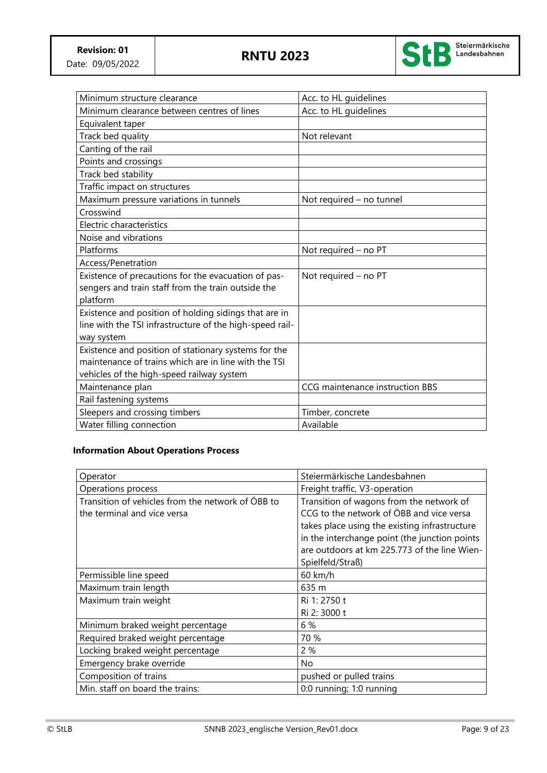

| Minimum structure clearance                              | Acc. to HL guidelines           |
|----------------------------------------------------------|---------------------------------|
| Minimum clearance between centres of lines               | Acc. to HL guidelines           |
| Equivalent taper                                         |                                 |
| Track bed quality                                        | Not relevant                    |
| Canting of the rail                                      |                                 |
| Points and crossings                                     |                                 |
| Track bed stability                                      |                                 |
| Traffic impact on structures                             |                                 |
| Maximum pressure variations in tunnels                   | Not required - no tunnel        |
| Crosswind                                                |                                 |
| Electric characteristics                                 |                                 |
| Noise and vibrations                                     |                                 |
| Platforms                                                | Not required - no PT            |
| Access/Penetration                                       |                                 |
| Existence of precautions for the evacuation of pas-      | Not required - no PT            |
| sengers and train staff from the train outside the       |                                 |
| platform                                                 |                                 |
| Existence and position of holding sidings that are in    |                                 |
| line with the TSI infrastructure of the high-speed rail- |                                 |
| way system                                               |                                 |
| Existence and position of stationary systems for the     |                                 |
| maintenance of trains which are in line with the TSI     |                                 |
| vehicles of the high-speed railway system                |                                 |
| Maintenance plan                                         | CCG maintenance instruction BBS |
| Rail fastening systems                                   |                                 |
| Sleepers and crossing timbers                            | Timber, concrete                |
| Water filling connection                                 | Available                       |

### **Information About Operations Process**

| Operator                                          | Steiermärkische Landesbahnen                  |
|---------------------------------------------------|-----------------------------------------------|
| Operations process                                | Freight traffic, V3-operation                 |
| Transition of vehicles from the network of ÖBB to | Transition of wagons from the network of      |
| the terminal and vice versa                       | CCG to the network of ÖBB and vice versa      |
|                                                   | takes place using the existing infrastructure |
|                                                   | in the interchange point (the junction points |
|                                                   | are outdoors at km 225.773 of the line Wien-  |
|                                                   | Spielfeld/Straß)                              |
| Permissible line speed                            | 60 km/h                                       |
| Maximum train length                              | 635 m                                         |
| Maximum train weight                              | Ri 1: 2750 t                                  |
|                                                   | Ri 2: 3000 t                                  |
| Minimum braked weight percentage                  | 6 %                                           |
| Required braked weight percentage                 | 70 %                                          |
| Locking braked weight percentage                  | 2 %                                           |
| Emergency brake override                          | No                                            |
| Composition of trains                             | pushed or pulled trains                       |
| Min. staff on board the trains:                   | 0:0 running; 1:0 running                      |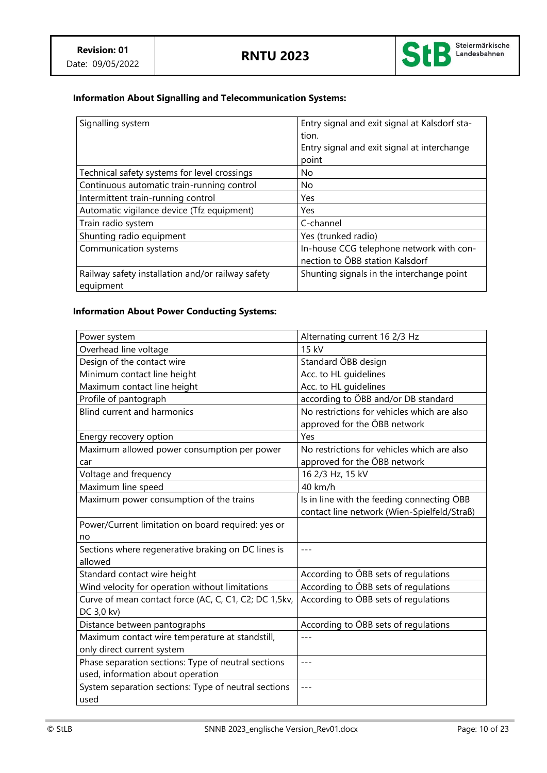

## **Information About Signalling and Telecommunication Systems:**

| Signalling system                                              | Entry signal and exit signal at Kalsdorf sta-<br>tion.<br>Entry signal and exit signal at interchange<br>point |
|----------------------------------------------------------------|----------------------------------------------------------------------------------------------------------------|
| Technical safety systems for level crossings                   | No                                                                                                             |
| Continuous automatic train-running control                     | No.                                                                                                            |
| Intermittent train-running control                             | Yes                                                                                                            |
| Automatic vigilance device (Tfz equipment)                     | Yes                                                                                                            |
| Train radio system                                             | C-channel                                                                                                      |
| Shunting radio equipment                                       | Yes (trunked radio)                                                                                            |
| Communication systems                                          | In-house CCG telephone network with con-<br>nection to ÖBB station Kalsdorf                                    |
| Railway safety installation and/or railway safety<br>equipment | Shunting signals in the interchange point                                                                      |

## **Information About Power Conducting Systems:**

| Power system                                          | Alternating current 16 2/3 Hz               |
|-------------------------------------------------------|---------------------------------------------|
| Overhead line voltage                                 | 15 kV                                       |
| Design of the contact wire                            | Standard ÖBB design                         |
| Minimum contact line height                           | Acc. to HL guidelines                       |
| Maximum contact line height                           | Acc. to HL guidelines                       |
| Profile of pantograph                                 | according to ÖBB and/or DB standard         |
| <b>Blind current and harmonics</b>                    | No restrictions for vehicles which are also |
|                                                       | approved for the ÖBB network                |
| Energy recovery option                                | Yes                                         |
| Maximum allowed power consumption per power           | No restrictions for vehicles which are also |
| car                                                   | approved for the ÖBB network                |
| Voltage and frequency                                 | 16 2/3 Hz, 15 kV                            |
| Maximum line speed                                    | 40 km/h                                     |
| Maximum power consumption of the trains               | Is in line with the feeding connecting ÖBB  |
|                                                       | contact line network (Wien-Spielfeld/Straß) |
| Power/Current limitation on board required: yes or    |                                             |
| no                                                    |                                             |
| Sections where regenerative braking on DC lines is    | $- - -$                                     |
| allowed                                               |                                             |
| Standard contact wire height                          | According to ÖBB sets of regulations        |
| Wind velocity for operation without limitations       | According to ÖBB sets of regulations        |
| Curve of mean contact force (AC, C, C1, C2; DC 1,5kv, | According to ÖBB sets of regulations        |
| DC 3,0 kv)                                            |                                             |
| Distance between pantographs                          | According to ÖBB sets of regulations        |
| Maximum contact wire temperature at standstill,       |                                             |
| only direct current system                            |                                             |
| Phase separation sections: Type of neutral sections   | $- - -$                                     |
| used, information about operation                     |                                             |
| System separation sections: Type of neutral sections  |                                             |
| used                                                  |                                             |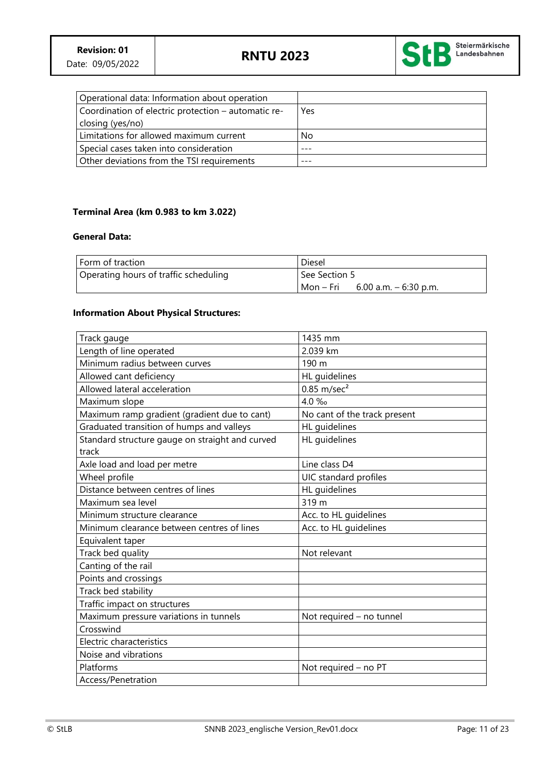

| Operational data: Information about operation       |     |
|-----------------------------------------------------|-----|
| Coordination of electric protection – automatic re- | Yes |
| closing (yes/no)                                    |     |
| Limitations for allowed maximum current             | No  |
| Special cases taken into consideration              |     |
| Other deviations from the TSI requirements          |     |

#### **Terminal Area (km 0.983 to km 3.022)**

#### **General Data:**

| l Form of traction                    | Diesel                               |
|---------------------------------------|--------------------------------------|
| Operating hours of traffic scheduling | See Section 5                        |
|                                       | Mon – Fri<br>6.00 a.m. $-$ 6:30 p.m. |

#### **Information About Physical Structures:**

| Track gauge                                     | 1435 mm                      |
|-------------------------------------------------|------------------------------|
| Length of line operated                         | 2.039 km                     |
| Minimum radius between curves                   | 190 m                        |
| Allowed cant deficiency                         | HL guidelines                |
| Allowed lateral acceleration                    | $0.85$ m/sec <sup>2</sup>    |
| Maximum slope                                   | 4.0 ‰                        |
| Maximum ramp gradient (gradient due to cant)    | No cant of the track present |
| Graduated transition of humps and valleys       | HL quidelines                |
| Standard structure gauge on straight and curved | HL guidelines                |
| track                                           |                              |
| Axle load and load per metre                    | Line class D4                |
| Wheel profile                                   | UIC standard profiles        |
| Distance between centres of lines               | HL guidelines                |
| Maximum sea level                               | 319 m                        |
| Minimum structure clearance                     | Acc. to HL guidelines        |
| Minimum clearance between centres of lines      | Acc. to HL guidelines        |
| Equivalent taper                                |                              |
| Track bed quality                               | Not relevant                 |
| Canting of the rail                             |                              |
| Points and crossings                            |                              |
| Track bed stability                             |                              |
| Traffic impact on structures                    |                              |
| Maximum pressure variations in tunnels          | Not required - no tunnel     |
| Crosswind                                       |                              |
| Electric characteristics                        |                              |
| Noise and vibrations                            |                              |
| Platforms                                       | Not required - no PT         |
| Access/Penetration                              |                              |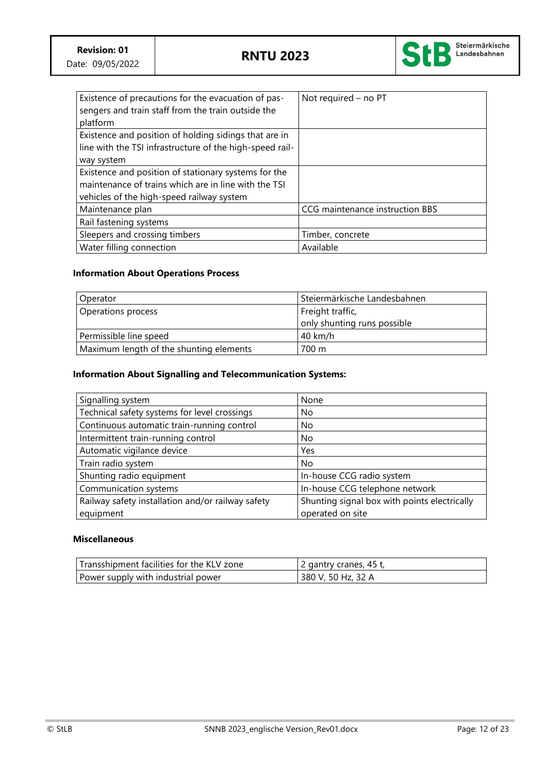

| Existence of precautions for the evacuation of pas-<br>sengers and train staff from the train outside the | Not required - no PT            |
|-----------------------------------------------------------------------------------------------------------|---------------------------------|
| platform                                                                                                  |                                 |
| Existence and position of holding sidings that are in                                                     |                                 |
| line with the TSI infrastructure of the high-speed rail-                                                  |                                 |
| way system                                                                                                |                                 |
| Existence and position of stationary systems for the                                                      |                                 |
| maintenance of trains which are in line with the TSI                                                      |                                 |
| vehicles of the high-speed railway system                                                                 |                                 |
| Maintenance plan                                                                                          | CCG maintenance instruction BBS |
| Rail fastening systems                                                                                    |                                 |
| Sleepers and crossing timbers                                                                             | Timber, concrete                |
| Water filling connection                                                                                  | Available                       |

## **Information About Operations Process**

| Operator                                | Steiermärkische Landesbahnen |
|-----------------------------------------|------------------------------|
| Operations process                      | Freight traffic,             |
|                                         | only shunting runs possible  |
| Permissible line speed                  | 40 km/h                      |
| Maximum length of the shunting elements | 700 m                        |

#### **Information About Signalling and Telecommunication Systems:**

| Signalling system                                 | None                                         |
|---------------------------------------------------|----------------------------------------------|
| Technical safety systems for level crossings      | No                                           |
| Continuous automatic train-running control        | No.                                          |
| Intermittent train-running control                | No.                                          |
| Automatic vigilance device                        | Yes                                          |
| Train radio system                                | No.                                          |
| Shunting radio equipment                          | In-house CCG radio system                    |
| Communication systems                             | In-house CCG telephone network               |
| Railway safety installation and/or railway safety | Shunting signal box with points electrically |
| equipment                                         | operated on site                             |

#### **Miscellaneous**

| Transshipment facilities for the KLV zone | 2 gantry cranes, 45 t, |
|-------------------------------------------|------------------------|
| Power supply with industrial power        | 380 V, 50 Hz, 32 A     |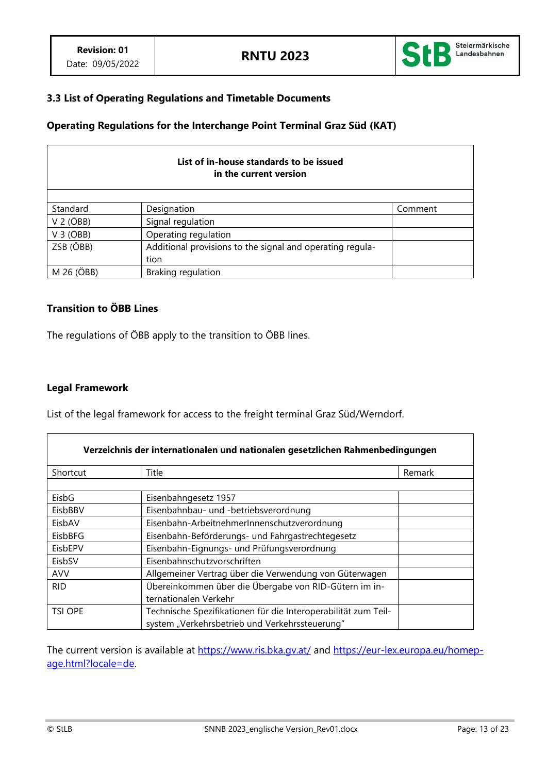

### **3.3 List of Operating Regulations and Timetable Documents**

### **Operating Regulations for the Interchange Point Terminal Graz Süd (KAT)**

| List of in-house standards to be issued<br>in the current version |                                                           |         |  |
|-------------------------------------------------------------------|-----------------------------------------------------------|---------|--|
|                                                                   |                                                           |         |  |
| Standard                                                          | Designation                                               | Comment |  |
| $V$ 2 ( $\overline{O}$ BB)                                        | Signal regulation                                         |         |  |
| $V$ 3 ( $\overrightarrow{OBB}$ )                                  | Operating regulation                                      |         |  |
| ZSB (ÖBB)                                                         | Additional provisions to the signal and operating regula- |         |  |
|                                                                   | tion                                                      |         |  |
| M 26 (ÖBB)                                                        | Braking regulation                                        |         |  |

### **Transition to ÖBB Lines**

The regulations of ÖBB apply to the transition to ÖBB lines.

#### **Legal Framework**

List of the legal framework for access to the freight terminal Graz Süd/Werndorf.

| Verzeichnis der internationalen und nationalen gesetzlichen Rahmenbedingungen |                                                                |        |
|-------------------------------------------------------------------------------|----------------------------------------------------------------|--------|
| Shortcut                                                                      | Title                                                          | Remark |
|                                                                               |                                                                |        |
| EisbG                                                                         | Eisenbahngesetz 1957                                           |        |
| EisbBBV                                                                       | Eisenbahnbau- und -betriebsverordnung                          |        |
| EisbAV                                                                        | Eisenbahn-ArbeitnehmerInnenschutzverordnung                    |        |
| EisbBFG                                                                       | Eisenbahn-Beförderungs- und Fahrgastrechtegesetz               |        |
| EisbEPV                                                                       | Eisenbahn-Eignungs- und Prüfungsverordnung                     |        |
| EisbSV                                                                        | Eisenbahnschutzvorschriften                                    |        |
| <b>AVV</b>                                                                    | Allgemeiner Vertrag über die Verwendung von Güterwagen         |        |
| <b>RID</b>                                                                    | Übereinkommen über die Übergabe von RID-Gütern im in-          |        |
|                                                                               | ternationalen Verkehr                                          |        |
| <b>TSI OPE</b>                                                                | Technische Spezifikationen für die Interoperabilität zum Teil- |        |
|                                                                               | system "Verkehrsbetrieb und Verkehrssteuerung"                 |        |

The current version is available at<https://www.ris.bka.gv.at/> and [https://eur-lex.europa.eu/homep](https://eur-lex.europa.eu/homepage.html?locale=de)[age.html?locale=de.](https://eur-lex.europa.eu/homepage.html?locale=de)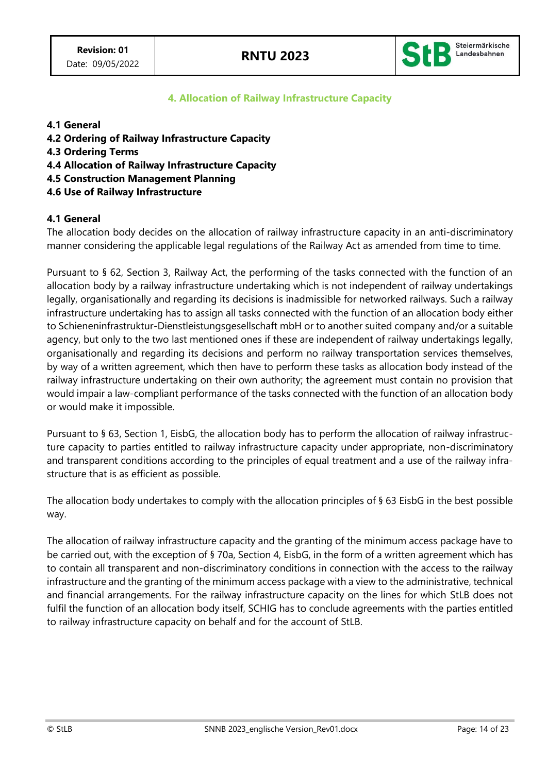

## **4. Allocation of Railway Infrastructure Capacity**

#### **4.1 General**

- **4.2 Ordering of Railway Infrastructure Capacity**
- **4.3 Ordering Terms**
- **4.4 Allocation of Railway Infrastructure Capacity**
- **4.5 Construction Management Planning**
- **4.6 Use of Railway Infrastructure**

### **4.1 General**

The allocation body decides on the allocation of railway infrastructure capacity in an anti-discriminatory manner considering the applicable legal regulations of the Railway Act as amended from time to time.

Pursuant to § 62, Section 3, Railway Act, the performing of the tasks connected with the function of an allocation body by a railway infrastructure undertaking which is not independent of railway undertakings legally, organisationally and regarding its decisions is inadmissible for networked railways. Such a railway infrastructure undertaking has to assign all tasks connected with the function of an allocation body either to Schieneninfrastruktur-Dienstleistungsgesellschaft mbH or to another suited company and/or a suitable agency, but only to the two last mentioned ones if these are independent of railway undertakings legally, organisationally and regarding its decisions and perform no railway transportation services themselves, by way of a written agreement, which then have to perform these tasks as allocation body instead of the railway infrastructure undertaking on their own authority; the agreement must contain no provision that would impair a law-compliant performance of the tasks connected with the function of an allocation body or would make it impossible.

Pursuant to § 63, Section 1, EisbG, the allocation body has to perform the allocation of railway infrastructure capacity to parties entitled to railway infrastructure capacity under appropriate, non-discriminatory and transparent conditions according to the principles of equal treatment and a use of the railway infrastructure that is as efficient as possible.

The allocation body undertakes to comply with the allocation principles of § 63 EisbG in the best possible way.

The allocation of railway infrastructure capacity and the granting of the minimum access package have to be carried out, with the exception of § 70a, Section 4, EisbG, in the form of a written agreement which has to contain all transparent and non-discriminatory conditions in connection with the access to the railway infrastructure and the granting of the minimum access package with a view to the administrative, technical and financial arrangements. For the railway infrastructure capacity on the lines for which StLB does not fulfil the function of an allocation body itself, SCHIG has to conclude agreements with the parties entitled to railway infrastructure capacity on behalf and for the account of StLB.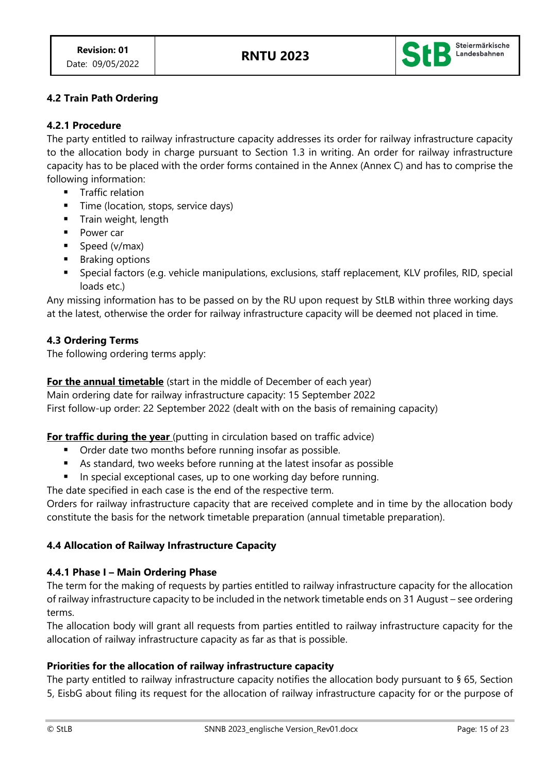

## **4.2 Train Path Ordering**

### **4.2.1 Procedure**

The party entitled to railway infrastructure capacity addresses its order for railway infrastructure capacity to the allocation body in charge pursuant to Section 1.3 in writing. An order for railway infrastructure capacity has to be placed with the order forms contained in the Annex (Annex C) and has to comprise the following information:

- Traffic relation
- **Time (location, stops, service days)**
- Train weight, length
- Power car
- Speed (v/max)
- Braking options
- Special factors (e.g. vehicle manipulations, exclusions, staff replacement, KLV profiles, RID, special loads etc.)

Any missing information has to be passed on by the RU upon request by StLB within three working days at the latest, otherwise the order for railway infrastructure capacity will be deemed not placed in time.

### **4.3 Ordering Terms**

The following ordering terms apply:

**For the annual timetable** (start in the middle of December of each year)

Main ordering date for railway infrastructure capacity: 15 September 2022

First follow-up order: 22 September 2022 (dealt with on the basis of remaining capacity)

## **For traffic during the year** (putting in circulation based on traffic advice)

- Order date two months before running insofar as possible.
- As standard, two weeks before running at the latest insofar as possible
- In special exceptional cases, up to one working day before running.

The date specified in each case is the end of the respective term.

Orders for railway infrastructure capacity that are received complete and in time by the allocation body constitute the basis for the network timetable preparation (annual timetable preparation).

## **4.4 Allocation of Railway Infrastructure Capacity**

### **4.4.1 Phase I – Main Ordering Phase**

The term for the making of requests by parties entitled to railway infrastructure capacity for the allocation of railway infrastructure capacity to be included in the network timetable ends on 31 August – see ordering terms.

The allocation body will grant all requests from parties entitled to railway infrastructure capacity for the allocation of railway infrastructure capacity as far as that is possible.

## **Priorities for the allocation of railway infrastructure capacity**

The party entitled to railway infrastructure capacity notifies the allocation body pursuant to § 65, Section 5, EisbG about filing its request for the allocation of railway infrastructure capacity for or the purpose of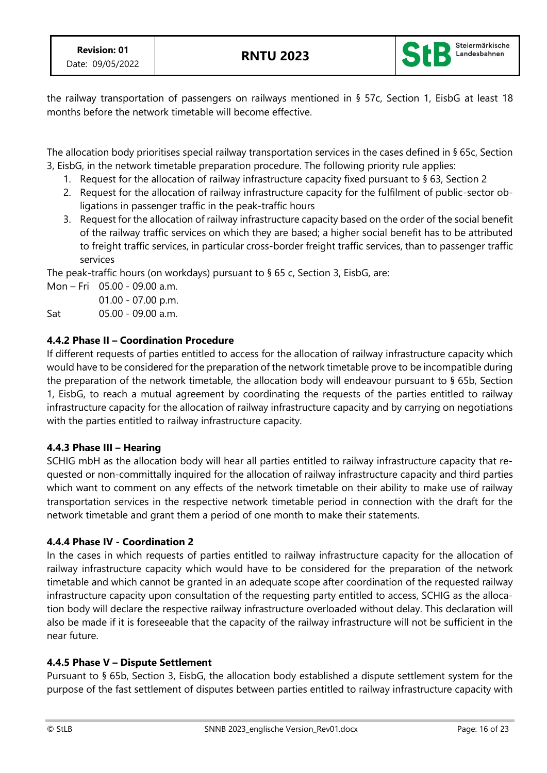

the railway transportation of passengers on railways mentioned in § 57c, Section 1, EisbG at least 18 months before the network timetable will become effective.

The allocation body prioritises special railway transportation services in the cases defined in § 65c, Section 3, EisbG, in the network timetable preparation procedure. The following priority rule applies:

- 1. Request for the allocation of railway infrastructure capacity fixed pursuant to § 63, Section 2
- 2. Request for the allocation of railway infrastructure capacity for the fulfilment of public-sector obligations in passenger traffic in the peak-traffic hours
- 3. Request for the allocation of railway infrastructure capacity based on the order of the social benefit of the railway traffic services on which they are based; a higher social benefit has to be attributed to freight traffic services, in particular cross-border freight traffic services, than to passenger traffic services

The peak-traffic hours (on workdays) pursuant to § 65 c, Section 3, EisbG, are:

Mon – Fri 05.00 - 09.00 a.m. 01.00 - 07.00 p.m.

Sat 05.00 - 09.00 a.m.

## **4.4.2 Phase II – Coordination Procedure**

If different requests of parties entitled to access for the allocation of railway infrastructure capacity which would have to be considered for the preparation of the network timetable prove to be incompatible during the preparation of the network timetable, the allocation body will endeavour pursuant to § 65b, Section 1, EisbG, to reach a mutual agreement by coordinating the requests of the parties entitled to railway infrastructure capacity for the allocation of railway infrastructure capacity and by carrying on negotiations with the parties entitled to railway infrastructure capacity.

## **4.4.3 Phase III – Hearing**

SCHIG mbH as the allocation body will hear all parties entitled to railway infrastructure capacity that requested or non-committally inquired for the allocation of railway infrastructure capacity and third parties which want to comment on any effects of the network timetable on their ability to make use of railway transportation services in the respective network timetable period in connection with the draft for the network timetable and grant them a period of one month to make their statements.

## **4.4.4 Phase IV - Coordination 2**

In the cases in which requests of parties entitled to railway infrastructure capacity for the allocation of railway infrastructure capacity which would have to be considered for the preparation of the network timetable and which cannot be granted in an adequate scope after coordination of the requested railway infrastructure capacity upon consultation of the requesting party entitled to access, SCHIG as the allocation body will declare the respective railway infrastructure overloaded without delay. This declaration will also be made if it is foreseeable that the capacity of the railway infrastructure will not be sufficient in the near future.

## **4.4.5 Phase V – Dispute Settlement**

Pursuant to § 65b, Section 3, EisbG, the allocation body established a dispute settlement system for the purpose of the fast settlement of disputes between parties entitled to railway infrastructure capacity with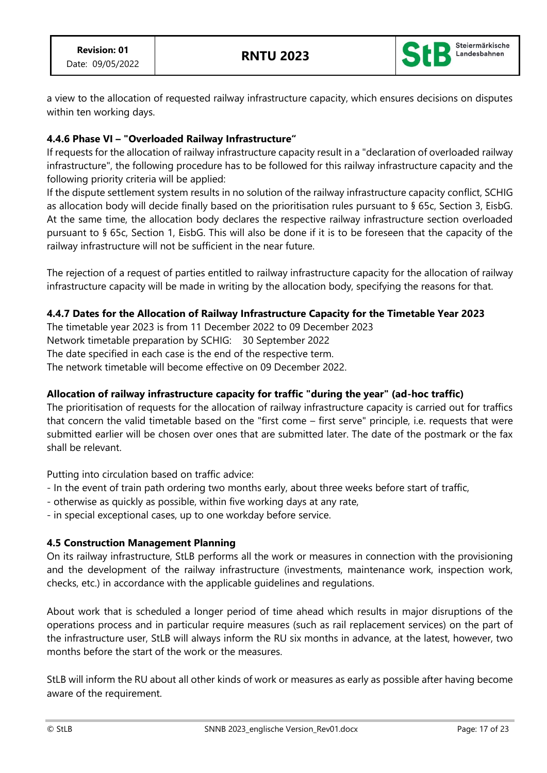

a view to the allocation of requested railway infrastructure capacity, which ensures decisions on disputes within ten working days.

## **4.4.6 Phase VI – "Overloaded Railway Infrastructure"**

If requests for the allocation of railway infrastructure capacity result in a "declaration of overloaded railway infrastructure", the following procedure has to be followed for this railway infrastructure capacity and the following priority criteria will be applied:

If the dispute settlement system results in no solution of the railway infrastructure capacity conflict, SCHIG as allocation body will decide finally based on the prioritisation rules pursuant to § 65c, Section 3, EisbG. At the same time, the allocation body declares the respective railway infrastructure section overloaded pursuant to § 65c, Section 1, EisbG. This will also be done if it is to be foreseen that the capacity of the railway infrastructure will not be sufficient in the near future.

The rejection of a request of parties entitled to railway infrastructure capacity for the allocation of railway infrastructure capacity will be made in writing by the allocation body, specifying the reasons for that.

### **4.4.7 Dates for the Allocation of Railway Infrastructure Capacity for the Timetable Year 2023**

The timetable year 2023 is from 11 December 2022 to 09 December 2023 Network timetable preparation by SCHIG: 30 September 2022 The date specified in each case is the end of the respective term. The network timetable will become effective on 09 December 2022.

## **Allocation of railway infrastructure capacity for traffic "during the year" (ad-hoc traffic)**

The prioritisation of requests for the allocation of railway infrastructure capacity is carried out for traffics that concern the valid timetable based on the "first come – first serve" principle, i.e. requests that were submitted earlier will be chosen over ones that are submitted later. The date of the postmark or the fax shall be relevant.

Putting into circulation based on traffic advice:

- In the event of train path ordering two months early, about three weeks before start of traffic,
- otherwise as quickly as possible, within five working days at any rate,

- in special exceptional cases, up to one workday before service.

### **4.5 Construction Management Planning**

On its railway infrastructure, StLB performs all the work or measures in connection with the provisioning and the development of the railway infrastructure (investments, maintenance work, inspection work, checks, etc.) in accordance with the applicable guidelines and regulations.

About work that is scheduled a longer period of time ahead which results in major disruptions of the operations process and in particular require measures (such as rail replacement services) on the part of the infrastructure user, StLB will always inform the RU six months in advance, at the latest, however, two months before the start of the work or the measures.

StLB will inform the RU about all other kinds of work or measures as early as possible after having become aware of the requirement.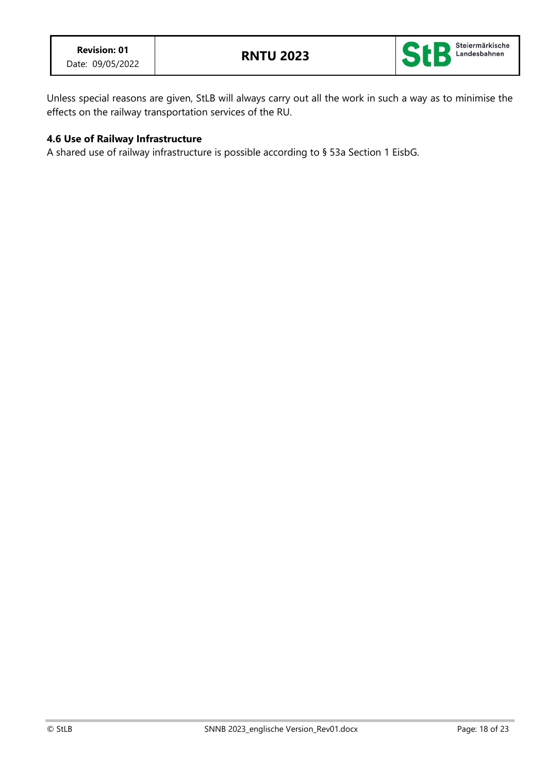

Unless special reasons are given, StLB will always carry out all the work in such a way as to minimise the effects on the railway transportation services of the RU.

### **4.6 Use of Railway Infrastructure**

A shared use of railway infrastructure is possible according to § 53a Section 1 EisbG.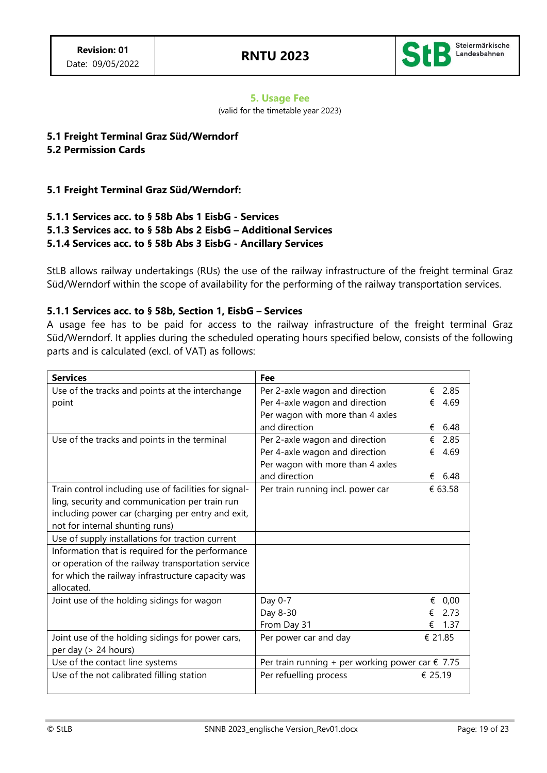

#### **5. Usage Fee**

(valid for the timetable year 2023)

## **5.1 Freight Terminal Graz Süd/Werndorf**

### **5.2 Permission Cards**

### **5.1 Freight Terminal Graz Süd/Werndorf:**

### **5.1.1 Services acc. to § 58b Abs 1 EisbG - Services 5.1.3 Services acc. to § 58b Abs 2 EisbG – Additional Services 5.1.4 Services acc. to § 58b Abs 3 EisbG - Ancillary Services**

StLB allows railway undertakings (RUs) the use of the railway infrastructure of the freight terminal Graz Süd/Werndorf within the scope of availability for the performing of the railway transportation services.

### **5.1.1 Services acc. to § 58b, Section 1, EisbG – Services**

A usage fee has to be paid for access to the railway infrastructure of the freight terminal Graz Süd/Werndorf. It applies during the scheduled operating hours specified below, consists of the following parts and is calculated (excl. of VAT) as follows:

| <b>Services</b>                                       | Fee                                                       |           |
|-------------------------------------------------------|-----------------------------------------------------------|-----------|
| Use of the tracks and points at the interchange       | Per 2-axle wagon and direction                            | 2.85<br>€ |
| point                                                 | Per 4-axle wagon and direction                            | 4.69<br>€ |
|                                                       | Per wagon with more than 4 axles                          |           |
|                                                       | and direction                                             | 6.48<br>€ |
| Use of the tracks and points in the terminal          | Per 2-axle wagon and direction                            | 2.85<br>€ |
|                                                       | Per 4-axle wagon and direction                            | 4.69<br>€ |
|                                                       | Per wagon with more than 4 axles                          |           |
|                                                       | and direction                                             | 6.48<br>€ |
| Train control including use of facilities for signal- | Per train running incl. power car                         | € 63.58   |
| ling, security and communication per train run        |                                                           |           |
| including power car (charging per entry and exit,     |                                                           |           |
| not for internal shunting runs)                       |                                                           |           |
| Use of supply installations for traction current      |                                                           |           |
| Information that is required for the performance      |                                                           |           |
| or operation of the railway transportation service    |                                                           |           |
| for which the railway infrastructure capacity was     |                                                           |           |
| allocated.                                            |                                                           |           |
| Joint use of the holding sidings for wagon            | Day 0-7                                                   | €<br>0,00 |
|                                                       | Day 8-30                                                  | 2.73<br>€ |
|                                                       | From Day 31                                               | 1.37<br>€ |
| Joint use of the holding sidings for power cars,      | Per power car and day                                     | € 21.85   |
| per day (> 24 hours)                                  |                                                           |           |
| Use of the contact line systems                       | Per train running + per working power car $\epsilon$ 7.75 |           |
| Use of the not calibrated filling station             | Per refuelling process                                    | € 25.19   |
|                                                       |                                                           |           |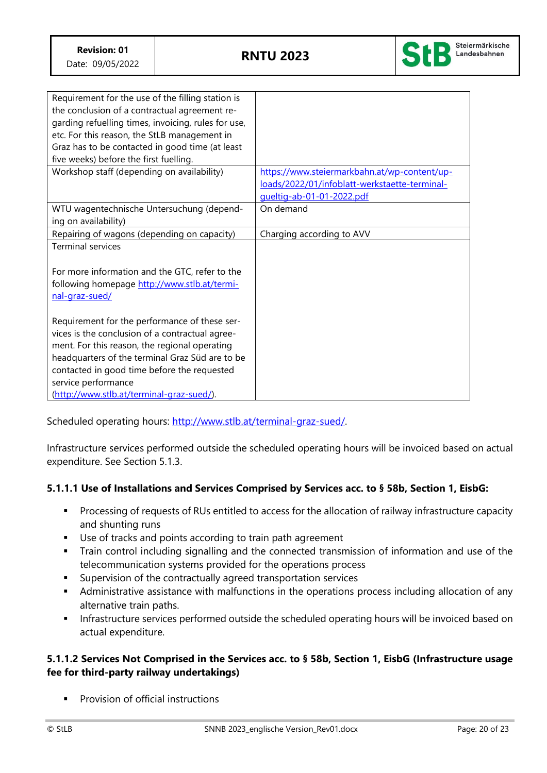

| Requirement for the use of the filling station is<br>the conclusion of a contractual agreement re- |                                               |
|----------------------------------------------------------------------------------------------------|-----------------------------------------------|
| garding refuelling times, invoicing, rules for use,                                                |                                               |
| etc. For this reason, the StLB management in                                                       |                                               |
| Graz has to be contacted in good time (at least                                                    |                                               |
| five weeks) before the first fuelling.                                                             |                                               |
| Workshop staff (depending on availability)                                                         | https://www.steiermarkbahn.at/wp-content/up-  |
|                                                                                                    | loads/2022/01/infoblatt-werkstaette-terminal- |
|                                                                                                    | gueltig-ab-01-01-2022.pdf                     |
| WTU wagentechnische Untersuchung (depend-                                                          | On demand                                     |
| ing on availability)                                                                               |                                               |
| Repairing of wagons (depending on capacity)                                                        | Charging according to AVV                     |
| <b>Terminal services</b>                                                                           |                                               |
|                                                                                                    |                                               |
| For more information and the GTC, refer to the                                                     |                                               |
| following homepage http://www.stlb.at/termi-                                                       |                                               |
| nal-graz-sued/                                                                                     |                                               |
|                                                                                                    |                                               |
| Requirement for the performance of these ser-                                                      |                                               |
| vices is the conclusion of a contractual agree-                                                    |                                               |
| ment. For this reason, the regional operating                                                      |                                               |
| headquarters of the terminal Graz Süd are to be                                                    |                                               |
| contacted in good time before the requested                                                        |                                               |
| service performance                                                                                |                                               |
| (http://www.stlb.at/terminal-graz-sued/).                                                          |                                               |

Scheduled operating hours: [http://www.stlb.at/terminal-graz-sued/.](http://www.stlb.at/terminal-graz-sued/) 

Infrastructure services performed outside the scheduled operating hours will be invoiced based on actual expenditure. See Section 5.1.3.

## **5.1.1.1 Use of Installations and Services Comprised by Services acc. to § 58b, Section 1, EisbG:**

- Processing of requests of RUs entitled to access for the allocation of railway infrastructure capacity and shunting runs
- Use of tracks and points according to train path agreement
- **•** Train control including signalling and the connected transmission of information and use of the telecommunication systems provided for the operations process
- Supervision of the contractually agreed transportation services
- **■** Administrative assistance with malfunctions in the operations process including allocation of any alternative train paths.
- **·** Infrastructure services performed outside the scheduled operating hours will be invoiced based on actual expenditure.

## **5.1.1.2 Services Not Comprised in the Services acc. to § 58b, Section 1, EisbG (Infrastructure usage fee for third-party railway undertakings)**

Provision of official instructions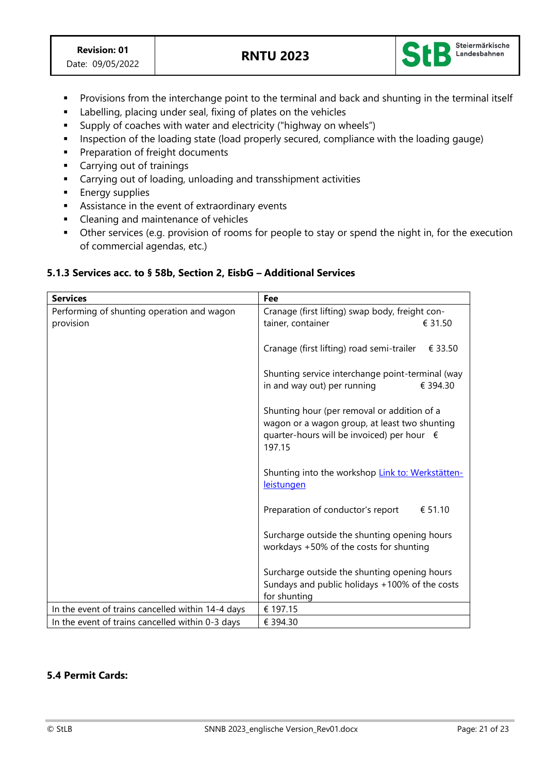

- Provisions from the interchange point to the terminal and back and shunting in the terminal itself
- Labelling, placing under seal, fixing of plates on the vehicles
- Supply of coaches with water and electricity ("highway on wheels")
- **EXP** Inspection of the loading state (load properly secured, compliance with the loading gauge)
- Preparation of freight documents
- Carrying out of trainings
- Carrying out of loading, unloading and transshipment activities
- **Energy supplies**
- **EXE** Assistance in the event of extraordinary events
- Cleaning and maintenance of vehicles
- **•** Other services (e.g. provision of rooms for people to stay or spend the night in, for the execution of commercial agendas, etc.)

### **5.1.3 Services acc. to § 58b, Section 2, EisbG – Additional Services**

| <b>Services</b>                                   | Fee                                                                                          |  |
|---------------------------------------------------|----------------------------------------------------------------------------------------------|--|
| Performing of shunting operation and wagon        | Cranage (first lifting) swap body, freight con-                                              |  |
| provision                                         | tainer, container<br>€ 31.50                                                                 |  |
|                                                   |                                                                                              |  |
|                                                   | Cranage (first lifting) road semi-trailer<br>€ 33.50                                         |  |
|                                                   |                                                                                              |  |
|                                                   | Shunting service interchange point-terminal (way                                             |  |
|                                                   | in and way out) per running<br>€ 394.30                                                      |  |
|                                                   |                                                                                              |  |
|                                                   | Shunting hour (per removal or addition of a<br>wagon or a wagon group, at least two shunting |  |
|                                                   | quarter-hours will be invoiced) per hour €                                                   |  |
|                                                   | 197.15                                                                                       |  |
|                                                   |                                                                                              |  |
|                                                   | Shunting into the workshop Link to: Werkstätten-                                             |  |
|                                                   | <b>leistungen</b>                                                                            |  |
|                                                   |                                                                                              |  |
|                                                   | Preparation of conductor's report<br>€ 51.10                                                 |  |
|                                                   | Surcharge outside the shunting opening hours                                                 |  |
|                                                   | workdays +50% of the costs for shunting                                                      |  |
|                                                   |                                                                                              |  |
|                                                   | Surcharge outside the shunting opening hours                                                 |  |
|                                                   | Sundays and public holidays +100% of the costs                                               |  |
|                                                   | for shunting                                                                                 |  |
| In the event of trains cancelled within 14-4 days | € 197.15                                                                                     |  |
| In the event of trains cancelled within 0-3 days  | € 394.30                                                                                     |  |

### **5.4 Permit Cards:**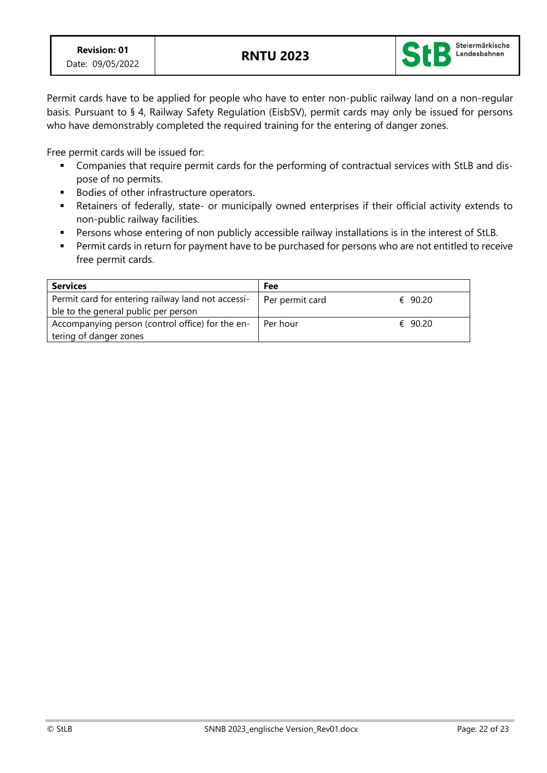

Permit cards have to be applied for people who have to enter non-public railway land on a non-regular basis. Pursuant to § 4, Railway Safety Regulation (EisbSV), permit cards may only be issued for persons who have demonstrably completed the required training for the entering of danger zones.

Free permit cards will be issued for:

- Companies that require permit cards for the performing of contractual services with StLB and dispose of no permits.
- Bodies of other infrastructure operators.
- Retainers of federally, state- or municipally owned enterprises if their official activity extends to non-public railway facilities.
- Persons whose entering of non publicly accessible railway installations is in the interest of StLB.
- Permit cards in return for payment have to be purchased for persons who are not entitled to receive free permit cards.

| <b>Services</b>                                    | Fee             |         |
|----------------------------------------------------|-----------------|---------|
| Permit card for entering railway land not accessi- | Per permit card | € 90.20 |
| ble to the general public per person               |                 |         |
| Accompanying person (control office) for the en-   | Per hour        | € 90.20 |
| tering of danger zones                             |                 |         |